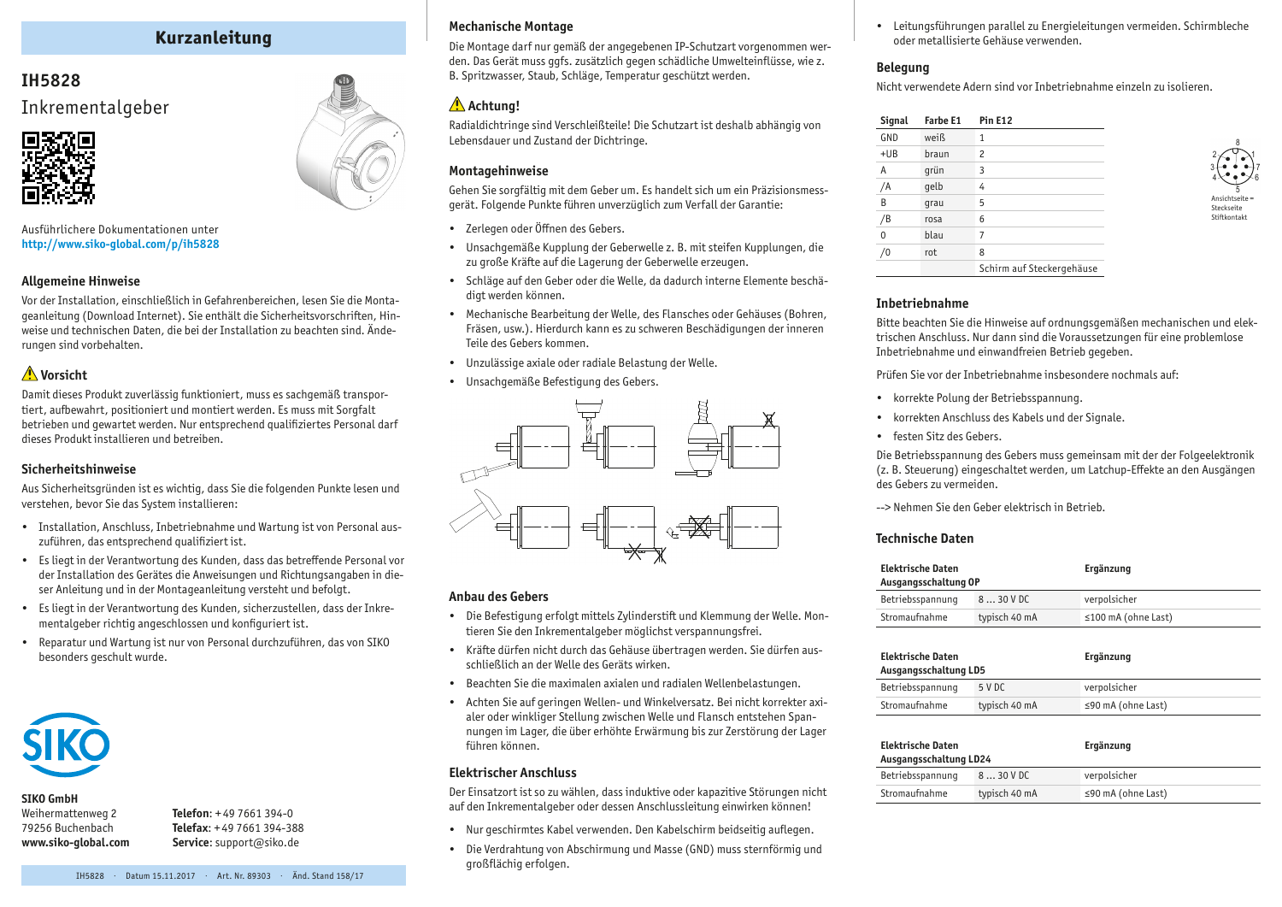# **Kurzanleitung**

# **IH5828** Inkrementalgeber



Ausführlichere Dokumentationen unter **http:/[/www.siko-global.com/p/](http://www.siko-global.com/p/ih5828)ih5828**

### **Allgemeine Hinweise**

Vor der Installation, einschließlich in Gefahrenbereichen, lesen Sie die Montageanleitung (Download Internet). Sie enthält die Sicherheitsvorschriften, Hinweise und technischen Daten, die bei der Installation zu beachten sind. Änderungen sind vorbehalten.

## **Vorsicht**

Damit dieses Produkt zuverlässig funktioniert, muss es sachgemäß transportiert, aufbewahrt, positioniert und montiert werden. Es muss mit Sorgfalt betrieben und gewartet werden. Nur entsprechend qualifiziertes Personal darf dieses Produkt installieren und betreiben.

### **Sicherheitshinweise**

Aus Sicherheitsgründen ist es wichtig, dass Sie die folgenden Punkte lesen und verstehen, bevor Sie das System installieren:

- • Installation, Anschluss, Inbetriebnahme und Wartung ist von Personal auszuführen, das entsprechend qualifiziert ist.
- • Es liegt in der Verantwortung des Kunden, dass das betreffende Personal vor der Installation des Gerätes die Anweisungen und Richtungsangaben in dieser Anleitung und in der Montageanleitung versteht und befolgt.
- • Es liegt in der Verantwortung des Kunden, sicherzustellen, dass der Inkrementalgeber richtig angeschlossen und konfiguriert ist.
- • Reparatur und Wartung ist nur von Personal durchzuführen, das von SIKO besonders geschult wurde.



### **SIKO GmbH**

Weihermattenweg 2 79256 Buchenbach **www.siko-global.com** **Telefon**: + 49 7661 394-0 **Telefax**: + 49 7661 394-388 **Service**: support@siko.de

### **Mechanische Montage**

Die Montage darf nur gemäß der angegebenen IP-Schutzart vorgenommen werden. Das Gerät muss ggfs. zusätzlich gegen schädliche Umwelteinflüsse, wie z. B. Spritzwasser, Staub, Schläge, Temperatur geschützt werden.

### Achtuna!

Radialdichtringe sind Verschleißteile! Die Schutzart ist deshalb abhängig von Lebensdauer und Zustand der Dichtringe.

### **Montagehinweise**

Gehen Sie sorgfältig mit dem Geber um. Es handelt sich um ein Präzisionsmessgerät. Folgende Punkte führen unverzüglich zum Verfall der Garantie:

- • Zerlegen oder Öffnen des Gebers.
- • Unsachgemäße Kupplung der Geberwelle z. B. mit steifen Kupplungen, die zu große Kräfte auf die Lagerung der Geberwelle erzeugen.
- • Schläge auf den Geber oder die Welle, da dadurch interne Elemente beschädigt werden können.
- • Mechanische Bearbeitung der Welle, des Flansches oder Gehäuses (Bohren, Fräsen, usw.). Hierdurch kann es zu schweren Beschädigungen der inneren Teile des Gebers kommen.
- • Unzulässige axiale oder radiale Belastung der Welle.
- • Unsachgemäße Befestigung des Gebers.



#### **Anbau des Gebers**

- Die Befestigung erfolgt mittels Zylinderstift und Klemmung der Welle. Montieren Sie den Inkrementalgeber möglichst verspannungsfrei.
- • Kräfte dürfen nicht durch das Gehäuse übertragen werden. Sie dürfen ausschließlich an der Welle des Geräts wirken.
- • Beachten Sie die maximalen axialen und radialen Wellenbelastungen.
- • Achten Sie auf geringen Wellen- und Winkelversatz. Bei nicht korrekter axialer oder winkliger Stellung zwischen Welle und Flansch entstehen Spannungen im Lager, die über erhöhte Erwärmung bis zur Zerstörung der Lager führen können.

### **Elektrischer Anschluss**

Der Einsatzort ist so zu wählen, dass induktive oder kapazitive Störungen nicht auf den Inkrementalgeber oder dessen Anschlussleitung einwirken können!

- • Nur geschirmtes Kabel verwenden. Den Kabelschirm beidseitig auflegen.
- • Die Verdrahtung von Abschirmung und Masse (GND) muss sternförmig und großflächig erfolgen.

• Leitungsführungen parallel zu Energieleitungen vermeiden. Schirmbleche oder metallisierte Gehäuse verwenden.

### **Belegung**

Nicht verwendete Adern sind vor Inbetriebnahme einzeln zu isolieren.

| Signal | Farbe E1 | <b>Pin E12</b>            |
|--------|----------|---------------------------|
| GND    | weiß     | 1                         |
| $+UB$  | braun    | $\overline{c}$            |
| Α      | qrün     | 3                         |
| /A     | qelb     | 4                         |
| B      | qrau     | 5                         |
| /B     | rosa     | 6                         |
| 0      | blau     | 7                         |
|        | rot      | 8                         |
|        |          | Schirm auf Steckergehäuse |



### **Inbetriebnahme**

Bitte beachten Sie die Hinweise auf ordnungsgemäßen mechanischen und elektrischen Anschluss. Nur dann sind die Voraussetzungen für eine problemlose Inbetriebnahme und einwandfreien Betrieb gegeben.

Prüfen Sie vor der Inbetriebnahme insbesondere nochmals auf:

- • korrekte Polung der Betriebsspannung.
- • korrekten Anschluss des Kabels und der Signale.
- festen Sitz des Gebers.

Die Betriebsspannung des Gebers muss gemeinsam mit der der Folgeelektronik (z. B. Steuerung) eingeschaltet werden, um Latchup-Effekte an den Ausgängen des Gebers zu vermeiden.

--> Nehmen Sie den Geber elektrisch in Betrieb.

#### **Technische Daten**

| <b>Elektrische Daten</b><br>Ausgangsschaltung OP |               | Ergänzung                 |
|--------------------------------------------------|---------------|---------------------------|
| Betriebsspannung                                 | 830VDC        | verpolsicher              |
| Stromaufnahme                                    | typisch 40 mA | $\leq$ 100 mA (ohne Last) |

| <b>Elektrische Daten</b><br>Ausgangsschaltung LD5 |               | Ergänzung          |
|---------------------------------------------------|---------------|--------------------|
| Betriebsspannung                                  | 5 V DC        | verpolsicher       |
| Stromaufnahme                                     | typisch 40 mA | ≤90 mA (ohne Last) |

| Elektrische Daten<br>Ausgangsschaltung LD24 |               | Ergänzung                |
|---------------------------------------------|---------------|--------------------------|
| Betriebsspannung                            | 830VDC        | verpolsicher             |
| Stromaufnahme                               | typisch 40 mA | $\leq$ 90 mA (ohne Last) |